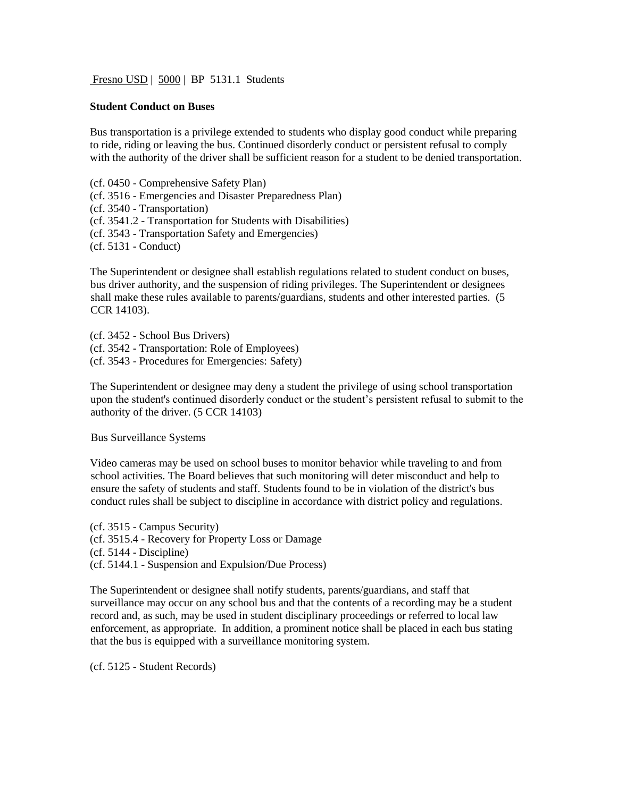Fresno USD | 5000 | BP 5131.1 Students

## **Student Conduct on Buses**

Bus transportation is a privilege extended to students who display good conduct while preparing to ride, riding or leaving the bus. Continued disorderly conduct or persistent refusal to comply with the authority of the driver shall be sufficient reason for a student to be denied transportation.

(cf. 0450 - Comprehensive Safety Plan)

(cf. 3516 - Emergencies and Disaster Preparedness Plan)

(cf. 3540 - Transportation)

(cf. 3541.2 - Transportation for Students with Disabilities)

(cf. 3543 - Transportation Safety and Emergencies)

(cf. 5131 - Conduct)

The Superintendent or designee shall establish regulations related to student conduct on buses, bus driver authority, and the suspension of riding privileges. The Superintendent or designees shall make these rules available to parents/guardians, students and other interested parties. (5 CCR 14103).

(cf. 3452 - School Bus Drivers) (cf. 3542 - Transportation: Role of Employees) (cf. 3543 - Procedures for Emergencies: Safety)

The Superintendent or designee may deny a student the privilege of using school transportation upon the student's continued disorderly conduct or the student's persistent refusal to submit to the authority of the driver. (5 CCR 14103)

Bus Surveillance Systems

Video cameras may be used on school buses to monitor behavior while traveling to and from school activities. The Board believes that such monitoring will deter misconduct and help to ensure the safety of students and staff. Students found to be in violation of the district's bus conduct rules shall be subject to discipline in accordance with district policy and regulations.

(cf. 3515 - Campus Security) (cf. 3515.4 - Recovery for Property Loss or Damage (cf. 5144 - Discipline) (cf. 5144.1 - Suspension and Expulsion/Due Process)

The Superintendent or designee shall notify students, parents/guardians, and staff that surveillance may occur on any school bus and that the contents of a recording may be a student record and, as such, may be used in student disciplinary proceedings or referred to local law enforcement, as appropriate. In addition, a prominent notice shall be placed in each bus stating that the bus is equipped with a surveillance monitoring system.

(cf. 5125 - Student Records)